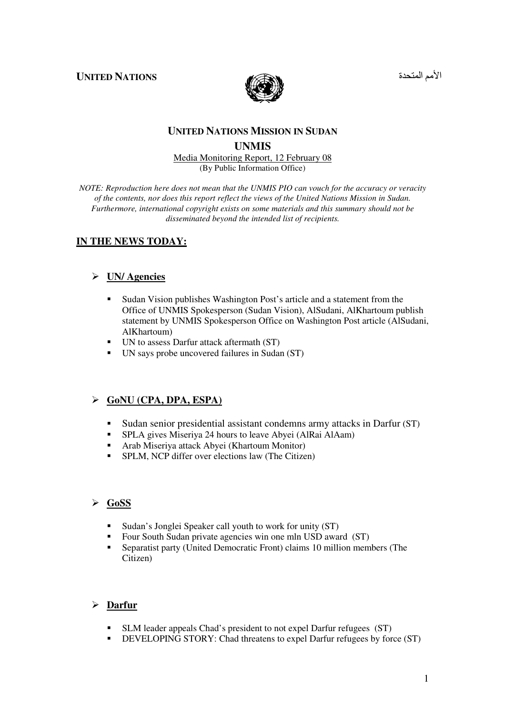**UNITED NATIONS** 



الأمم المتحد

# **UNITED NATIONS MISSION IN SUDAN UNMIS**

#### Media Monitoring Report, 12 February 08 (By Public Information Office)

*NOTE: Reproduction here does not mean that the UNMIS PIO can vouch for the accuracy or veracity of the contents, nor does this report reflect the views of the United Nations Mission in Sudan. Furthermore, international copyright exists on some materials and this summary should not be disseminated beyond the intended list of recipients.* 

# **IN THE NEWS TODAY:**

## **UN/ Agencies**

- - Sudan Vision publishes Washington Post's article and a statement from the Office of UNMIS Spokesperson (Sudan Vision), AlSudani, AlKhartoum publish statement by UNMIS Spokesperson Office on Washington Post article (AlSudani, AlKhartoum)
- UN to assess Darfur attack aftermath (ST)
- UN says probe uncovered failures in Sudan (ST)

## **GoNU (CPA, DPA, ESPA)**

- -Sudan senior presidential assistant condemns army attacks in Darfur (ST)
- -SPLA gives Miseriya 24 hours to leave Abyei (AlRai AlAam)
- -Arab Miseriya attack Abyei (Khartoum Monitor)
- -SPLM, NCP differ over elections law (The Citizen)

#### **GoSS**

- -Sudan's Jonglei Speaker call youth to work for unity (ST)
- -Four South Sudan private agencies win one mln USD award (ST)
- - Separatist party (United Democratic Front) claims 10 million members (The Citizen)

## **Darfur**

- -SLM leader appeals Chad's president to not expel Darfur refugees (ST)
- -DEVELOPING STORY: Chad threatens to expel Darfur refugees by force (ST)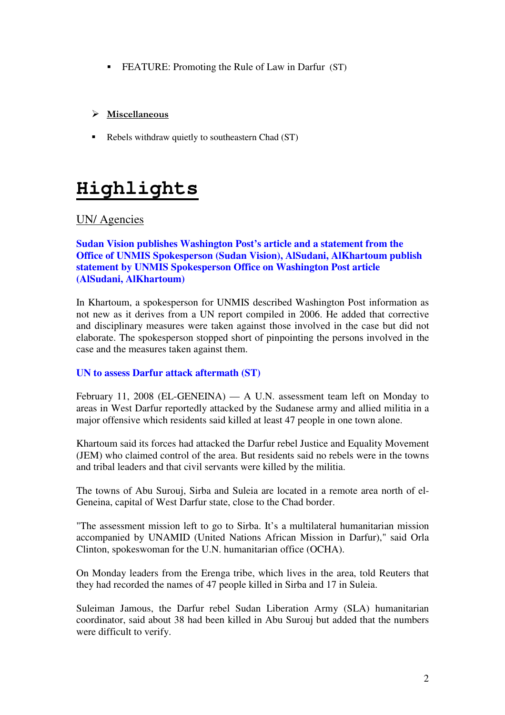**FEATURE:** Promoting the Rule of Law in Darfur (ST)

## $\triangleright$  Miscellaneous

-Rebels withdraw quietly to southeastern Chad (ST)

# **Highlights**

# UN/ Agencies

## **Sudan Vision publishes Washington Post's article and a statement from the Office of UNMIS Spokesperson (Sudan Vision), AlSudani, AlKhartoum publish statement by UNMIS Spokesperson Office on Washington Post article (AlSudani, AlKhartoum)**

In Khartoum, a spokesperson for UNMIS described Washington Post information as not new as it derives from a UN report compiled in 2006. He added that corrective and disciplinary measures were taken against those involved in the case but did not elaborate. The spokesperson stopped short of pinpointing the persons involved in the case and the measures taken against them.

## **UN to assess Darfur attack aftermath (ST)**

February 11, 2008 (EL-GENEINA) — A U.N. assessment team left on Monday to areas in West Darfur reportedly attacked by the Sudanese army and allied militia in a major offensive which residents said killed at least 47 people in one town alone.

Khartoum said its forces had attacked the Darfur rebel Justice and Equality Movement (JEM) who claimed control of the area. But residents said no rebels were in the towns and tribal leaders and that civil servants were killed by the militia.

The towns of Abu Surouj, Sirba and Suleia are located in a remote area north of el-Geneina, capital of West Darfur state, close to the Chad border.

"The assessment mission left to go to Sirba. It's a multilateral humanitarian mission accompanied by UNAMID (United Nations African Mission in Darfur)," said Orla Clinton, spokeswoman for the U.N. humanitarian office (OCHA).

On Monday leaders from the Erenga tribe, which lives in the area, told Reuters that they had recorded the names of 47 people killed in Sirba and 17 in Suleia.

Suleiman Jamous, the Darfur rebel Sudan Liberation Army (SLA) humanitarian coordinator, said about 38 had been killed in Abu Surouj but added that the numbers were difficult to verify.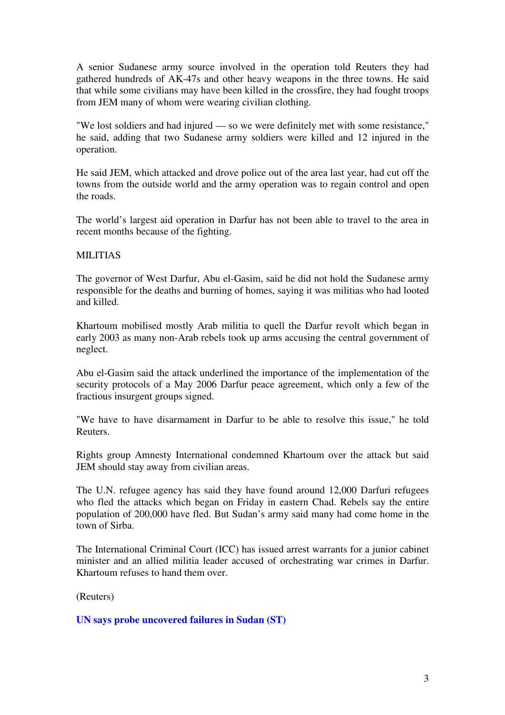A senior Sudanese army source involved in the operation told Reuters they had gathered hundreds of AK-47s and other heavy weapons in the three towns. He said that while some civilians may have been killed in the crossfire, they had fought troops from JEM many of whom were wearing civilian clothing.

"We lost soldiers and had injured — so we were definitely met with some resistance," he said, adding that two Sudanese army soldiers were killed and 12 injured in the operation.

He said JEM, which attacked and drove police out of the area last year, had cut off the towns from the outside world and the army operation was to regain control and open the roads.

The world's largest aid operation in Darfur has not been able to travel to the area in recent months because of the fighting.

#### MILITIAS

The governor of West Darfur, Abu el-Gasim, said he did not hold the Sudanese army responsible for the deaths and burning of homes, saying it was militias who had looted and killed.

Khartoum mobilised mostly Arab militia to quell the Darfur revolt which began in early 2003 as many non-Arab rebels took up arms accusing the central government of neglect.

Abu el-Gasim said the attack underlined the importance of the implementation of the security protocols of a May 2006 Darfur peace agreement, which only a few of the fractious insurgent groups signed.

"We have to have disarmament in Darfur to be able to resolve this issue," he told Reuters.

Rights group Amnesty International condemned Khartoum over the attack but said JEM should stay away from civilian areas.

The U.N. refugee agency has said they have found around 12,000 Darfuri refugees who fled the attacks which began on Friday in eastern Chad. Rebels say the entire population of 200,000 have fled. But Sudan's army said many had come home in the town of Sirba.

The International Criminal Court (ICC) has issued arrest warrants for a junior cabinet minister and an allied militia leader accused of orchestrating war crimes in Darfur. Khartoum refuses to hand them over.

(Reuters)

**UN says probe uncovered failures in Sudan (ST)**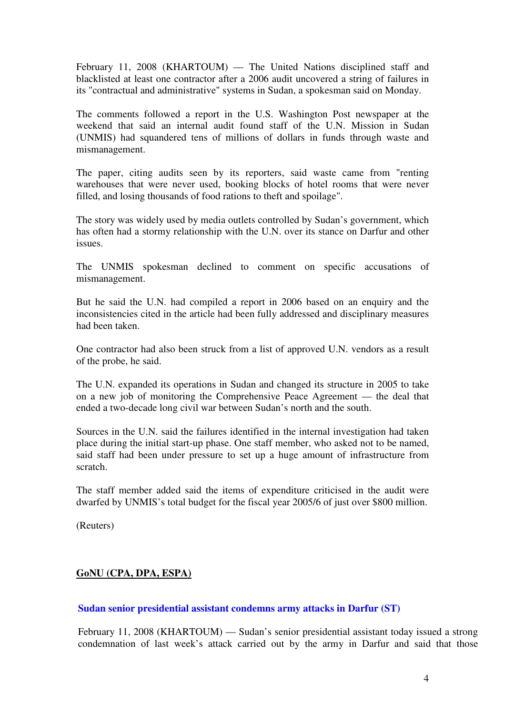February 11, 2008 (KHARTOUM) — The United Nations disciplined staff and blacklisted at least one contractor after a 2006 audit uncovered a string of failures in its "contractual and administrative" systems in Sudan, a spokesman said on Monday.

The comments followed a report in the U.S. Washington Post newspaper at the weekend that said an internal audit found staff of the U.N. Mission in Sudan (UNMIS) had squandered tens of millions of dollars in funds through waste and mismanagement.

The paper, citing audits seen by its reporters, said waste came from "renting warehouses that were never used, booking blocks of hotel rooms that were never filled, and losing thousands of food rations to theft and spoilage".

The story was widely used by media outlets controlled by Sudan's government, which has often had a stormy relationship with the U.N. over its stance on Darfur and other issues.

The UNMIS spokesman declined to comment on specific accusations of mismanagement.

But he said the U.N. had compiled a report in 2006 based on an enquiry and the inconsistencies cited in the article had been fully addressed and disciplinary measures had been taken.

One contractor had also been struck from a list of approved U.N. vendors as a result of the probe, he said.

The U.N. expanded its operations in Sudan and changed its structure in 2005 to take on a new job of monitoring the Comprehensive Peace Agreement — the deal that ended a two-decade long civil war between Sudan's north and the south.

Sources in the U.N. said the failures identified in the internal investigation had taken place during the initial start-up phase. One staff member, who asked not to be named, said staff had been under pressure to set up a huge amount of infrastructure from scratch.

The staff member added said the items of expenditure criticised in the audit were dwarfed by UNMIS's total budget for the fiscal year 2005/6 of just over \$800 million.

(Reuters)

## **GoNU (CPA, DPA, ESPA)**

## **Sudan senior presidential assistant condemns army attacks in Darfur (ST)**

February 11, 2008 (KHARTOUM) — Sudan's senior presidential assistant today issued a strong condemnation of last week's attack carried out by the army in Darfur and said that those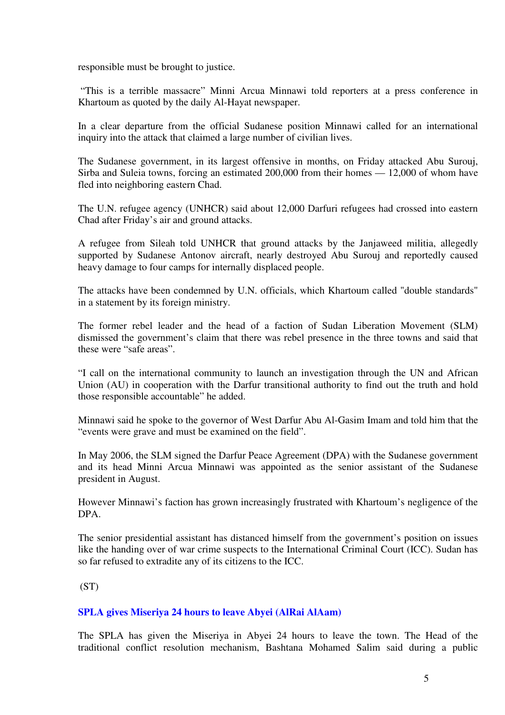responsible must be brought to justice.

 "This is a terrible massacre" Minni Arcua Minnawi told reporters at a press conference in Khartoum as quoted by the daily Al-Hayat newspaper.

In a clear departure from the official Sudanese position Minnawi called for an international inquiry into the attack that claimed a large number of civilian lives.

The Sudanese government, in its largest offensive in months, on Friday attacked Abu Surouj, Sirba and Suleia towns, forcing an estimated 200,000 from their homes — 12,000 of whom have fled into neighboring eastern Chad.

The U.N. refugee agency (UNHCR) said about 12,000 Darfuri refugees had crossed into eastern Chad after Friday's air and ground attacks.

A refugee from Sileah told UNHCR that ground attacks by the Janjaweed militia, allegedly supported by Sudanese Antonov aircraft, nearly destroyed Abu Surouj and reportedly caused heavy damage to four camps for internally displaced people.

The attacks have been condemned by U.N. officials, which Khartoum called "double standards" in a statement by its foreign ministry.

The former rebel leader and the head of a faction of Sudan Liberation Movement (SLM) dismissed the government's claim that there was rebel presence in the three towns and said that these were "safe areas".

"I call on the international community to launch an investigation through the UN and African Union (AU) in cooperation with the Darfur transitional authority to find out the truth and hold those responsible accountable" he added.

Minnawi said he spoke to the governor of West Darfur Abu Al-Gasim Imam and told him that the "events were grave and must be examined on the field".

In May 2006, the SLM signed the Darfur Peace Agreement (DPA) with the Sudanese government and its head Minni Arcua Minnawi was appointed as the senior assistant of the Sudanese president in August.

However Minnawi's faction has grown increasingly frustrated with Khartoum's negligence of the DPA.

The senior presidential assistant has distanced himself from the government's position on issues like the handing over of war crime suspects to the International Criminal Court (ICC). Sudan has so far refused to extradite any of its citizens to the ICC.

 $(ST)$ 

#### **SPLA gives Miseriya 24 hours to leave Abyei (AlRai AlAam)**

The SPLA has given the Miseriya in Abyei 24 hours to leave the town. The Head of the traditional conflict resolution mechanism, Bashtana Mohamed Salim said during a public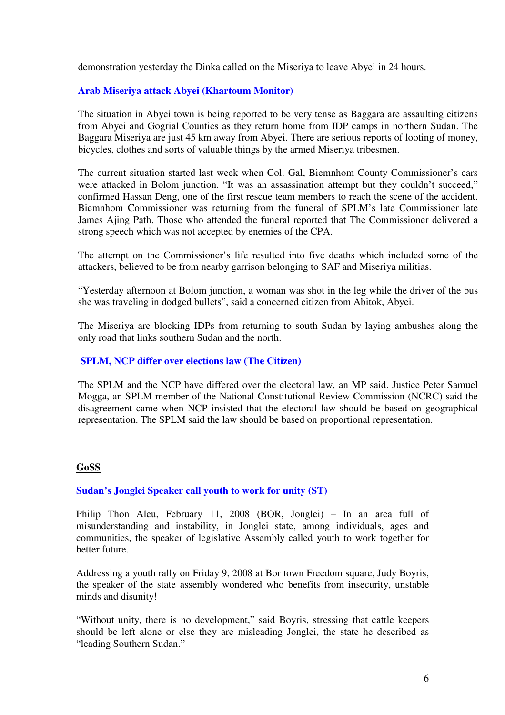demonstration yesterday the Dinka called on the Miseriya to leave Abyei in 24 hours.

## **Arab Miseriya attack Abyei (Khartoum Monitor)**

The situation in Abyei town is being reported to be very tense as Baggara are assaulting citizens from Abyei and Gogrial Counties as they return home from IDP camps in northern Sudan. The Baggara Miseriya are just 45 km away from Abyei. There are serious reports of looting of money, bicycles, clothes and sorts of valuable things by the armed Miseriya tribesmen.

The current situation started last week when Col. Gal, Biemnhom County Commissioner's cars were attacked in Bolom junction. "It was an assassination attempt but they couldn't succeed," confirmed Hassan Deng, one of the first rescue team members to reach the scene of the accident. Biemnhom Commissioner was returning from the funeral of SPLM's late Commissioner late James Ajing Path. Those who attended the funeral reported that The Commissioner delivered a strong speech which was not accepted by enemies of the CPA.

The attempt on the Commissioner's life resulted into five deaths which included some of the attackers, believed to be from nearby garrison belonging to SAF and Miseriya militias.

"Yesterday afternoon at Bolom junction, a woman was shot in the leg while the driver of the bus she was traveling in dodged bullets", said a concerned citizen from Abitok, Abyei.

The Miseriya are blocking IDPs from returning to south Sudan by laying ambushes along the only road that links southern Sudan and the north.

## **SPLM, NCP differ over elections law (The Citizen)**

The SPLM and the NCP have differed over the electoral law, an MP said. Justice Peter Samuel Mogga, an SPLM member of the National Constitutional Review Commission (NCRC) said the disagreement came when NCP insisted that the electoral law should be based on geographical representation. The SPLM said the law should be based on proportional representation.

#### **GoSS**

## **Sudan's Jonglei Speaker call youth to work for unity (ST)**

Philip Thon Aleu, February 11, 2008 (BOR, Jonglei) – In an area full of misunderstanding and instability, in Jonglei state, among individuals, ages and communities, the speaker of legislative Assembly called youth to work together for better future.

Addressing a youth rally on Friday 9, 2008 at Bor town Freedom square, Judy Boyris, the speaker of the state assembly wondered who benefits from insecurity, unstable minds and disunity!

"Without unity, there is no development," said Boyris, stressing that cattle keepers should be left alone or else they are misleading Jonglei, the state he described as "leading Southern Sudan."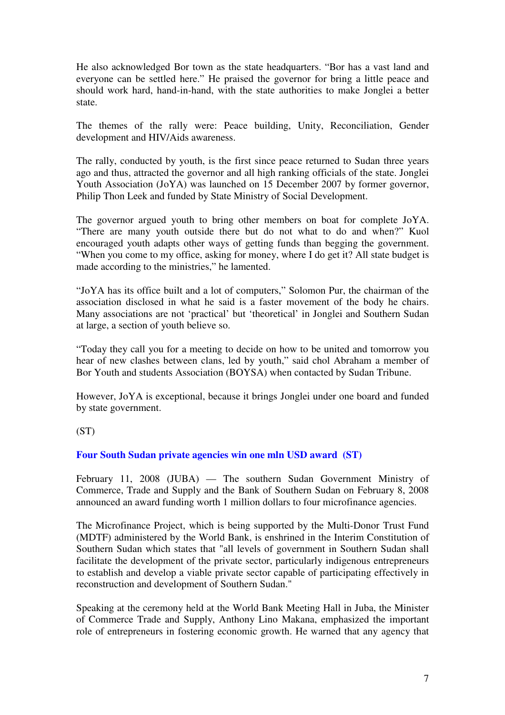He also acknowledged Bor town as the state headquarters. "Bor has a vast land and everyone can be settled here." He praised the governor for bring a little peace and should work hard, hand-in-hand, with the state authorities to make Jonglei a better state.

The themes of the rally were: Peace building, Unity, Reconciliation, Gender development and HIV/Aids awareness.

The rally, conducted by youth, is the first since peace returned to Sudan three years ago and thus, attracted the governor and all high ranking officials of the state. Jonglei Youth Association (JoYA) was launched on 15 December 2007 by former governor, Philip Thon Leek and funded by State Ministry of Social Development.

The governor argued youth to bring other members on boat for complete JoYA. "There are many youth outside there but do not what to do and when?" Kuol encouraged youth adapts other ways of getting funds than begging the government. "When you come to my office, asking for money, where I do get it? All state budget is made according to the ministries," he lamented.

"JoYA has its office built and a lot of computers," Solomon Pur, the chairman of the association disclosed in what he said is a faster movement of the body he chairs. Many associations are not 'practical' but 'theoretical' in Jonglei and Southern Sudan at large, a section of youth believe so.

"Today they call you for a meeting to decide on how to be united and tomorrow you hear of new clashes between clans, led by youth," said chol Abraham a member of Bor Youth and students Association (BOYSA) when contacted by Sudan Tribune.

However, JoYA is exceptional, because it brings Jonglei under one board and funded by state government.

(ST)

## **Four South Sudan private agencies win one mln USD award (ST)**

February 11, 2008 (JUBA) — The southern Sudan Government Ministry of Commerce, Trade and Supply and the Bank of Southern Sudan on February 8, 2008 announced an award funding worth 1 million dollars to four microfinance agencies.

The Microfinance Project, which is being supported by the Multi-Donor Trust Fund (MDTF) administered by the World Bank, is enshrined in the Interim Constitution of Southern Sudan which states that "all levels of government in Southern Sudan shall facilitate the development of the private sector, particularly indigenous entrepreneurs to establish and develop a viable private sector capable of participating effectively in reconstruction and development of Southern Sudan."

Speaking at the ceremony held at the World Bank Meeting Hall in Juba, the Minister of Commerce Trade and Supply, Anthony Lino Makana, emphasized the important role of entrepreneurs in fostering economic growth. He warned that any agency that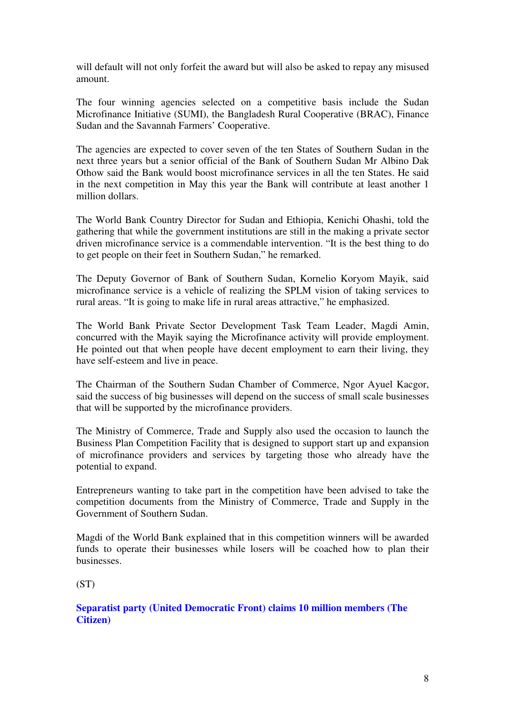will default will not only forfeit the award but will also be asked to repay any misused amount.

The four winning agencies selected on a competitive basis include the Sudan Microfinance Initiative (SUMI), the Bangladesh Rural Cooperative (BRAC), Finance Sudan and the Savannah Farmers' Cooperative.

The agencies are expected to cover seven of the ten States of Southern Sudan in the next three years but a senior official of the Bank of Southern Sudan Mr Albino Dak Othow said the Bank would boost microfinance services in all the ten States. He said in the next competition in May this year the Bank will contribute at least another 1 million dollars.

The World Bank Country Director for Sudan and Ethiopia, Kenichi Ohashi, told the gathering that while the government institutions are still in the making a private sector driven microfinance service is a commendable intervention. "It is the best thing to do to get people on their feet in Southern Sudan," he remarked.

The Deputy Governor of Bank of Southern Sudan, Kornelio Koryom Mayik, said microfinance service is a vehicle of realizing the SPLM vision of taking services to rural areas. "It is going to make life in rural areas attractive," he emphasized.

The World Bank Private Sector Development Task Team Leader, Magdi Amin, concurred with the Mayik saying the Microfinance activity will provide employment. He pointed out that when people have decent employment to earn their living, they have self-esteem and live in peace.

The Chairman of the Southern Sudan Chamber of Commerce, Ngor Ayuel Kacgor, said the success of big businesses will depend on the success of small scale businesses that will be supported by the microfinance providers.

The Ministry of Commerce, Trade and Supply also used the occasion to launch the Business Plan Competition Facility that is designed to support start up and expansion of microfinance providers and services by targeting those who already have the potential to expand.

Entrepreneurs wanting to take part in the competition have been advised to take the competition documents from the Ministry of Commerce, Trade and Supply in the Government of Southern Sudan.

Magdi of the World Bank explained that in this competition winners will be awarded funds to operate their businesses while losers will be coached how to plan their businesses.

(ST)

## **Separatist party (United Democratic Front) claims 10 million members (The Citizen)**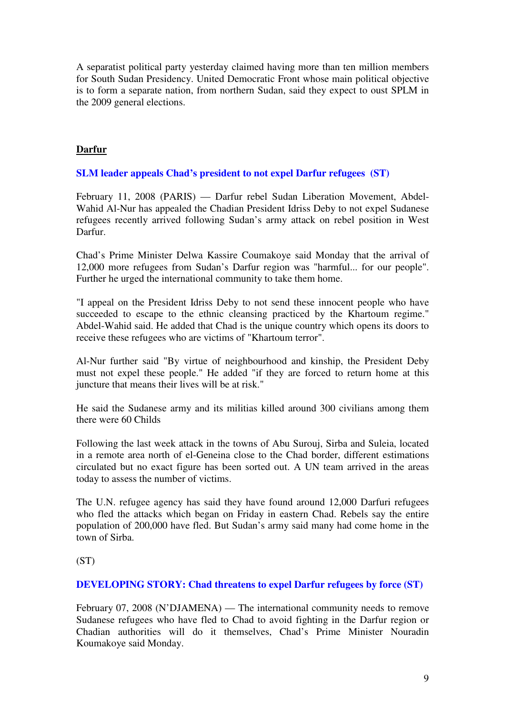A separatist political party yesterday claimed having more than ten million members for South Sudan Presidency. United Democratic Front whose main political objective is to form a separate nation, from northern Sudan, said they expect to oust SPLM in the 2009 general elections.

# **Darfur**

## **SLM leader appeals Chad's president to not expel Darfur refugees (ST)**

February 11, 2008 (PARIS) — Darfur rebel Sudan Liberation Movement, Abdel-Wahid Al-Nur has appealed the Chadian President Idriss Deby to not expel Sudanese refugees recently arrived following Sudan's army attack on rebel position in West Darfur.

Chad's Prime Minister Delwa Kassire Coumakoye said Monday that the arrival of 12,000 more refugees from Sudan's Darfur region was "harmful... for our people". Further he urged the international community to take them home.

"I appeal on the President Idriss Deby to not send these innocent people who have succeeded to escape to the ethnic cleansing practiced by the Khartoum regime." Abdel-Wahid said. He added that Chad is the unique country which opens its doors to receive these refugees who are victims of "Khartoum terror".

Al-Nur further said "By virtue of neighbourhood and kinship, the President Deby must not expel these people." He added "if they are forced to return home at this juncture that means their lives will be at risk."

He said the Sudanese army and its militias killed around 300 civilians among them there were 60 Childs

Following the last week attack in the towns of Abu Surouj, Sirba and Suleia, located in a remote area north of el-Geneina close to the Chad border, different estimations circulated but no exact figure has been sorted out. A UN team arrived in the areas today to assess the number of victims.

The U.N. refugee agency has said they have found around 12,000 Darfuri refugees who fled the attacks which began on Friday in eastern Chad. Rebels say the entire population of 200,000 have fled. But Sudan's army said many had come home in the town of Sirba.

(ST)

#### **DEVELOPING STORY: Chad threatens to expel Darfur refugees by force (ST)**

February 07, 2008 (N'DJAMENA) — The international community needs to remove Sudanese refugees who have fled to Chad to avoid fighting in the Darfur region or Chadian authorities will do it themselves, Chad's Prime Minister Nouradin Koumakoye said Monday.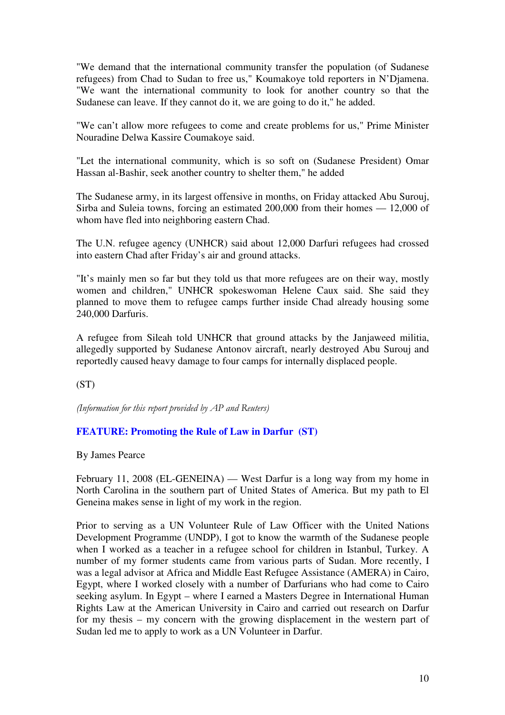"We demand that the international community transfer the population (of Sudanese refugees) from Chad to Sudan to free us," Koumakoye told reporters in N'Djamena. "We want the international community to look for another country so that the Sudanese can leave. If they cannot do it, we are going to do it," he added.

"We can't allow more refugees to come and create problems for us," Prime Minister Nouradine Delwa Kassire Coumakoye said.

"Let the international community, which is so soft on (Sudanese President) Omar Hassan al-Bashir, seek another country to shelter them," he added

The Sudanese army, in its largest offensive in months, on Friday attacked Abu Surouj, Sirba and Suleia towns, forcing an estimated 200,000 from their homes — 12,000 of whom have fled into neighboring eastern Chad.

The U.N. refugee agency (UNHCR) said about 12,000 Darfuri refugees had crossed into eastern Chad after Friday's air and ground attacks.

"It's mainly men so far but they told us that more refugees are on their way, mostly women and children," UNHCR spokeswoman Helene Caux said. She said they planned to move them to refugee camps further inside Chad already housing some 240,000 Darfuris.

A refugee from Sileah told UNHCR that ground attacks by the Janjaweed militia, allegedly supported by Sudanese Antonov aircraft, nearly destroyed Abu Surouj and reportedly caused heavy damage to four camps for internally displaced people.

(ST)

(Information for this report provided by AP and Reuters)

#### **FEATURE: Promoting the Rule of Law in Darfur (ST)**

By James Pearce

February 11, 2008 (EL-GENEINA) — West Darfur is a long way from my home in North Carolina in the southern part of United States of America. But my path to El Geneina makes sense in light of my work in the region.

Prior to serving as a UN Volunteer Rule of Law Officer with the United Nations Development Programme (UNDP), I got to know the warmth of the Sudanese people when I worked as a teacher in a refugee school for children in Istanbul, Turkey. A number of my former students came from various parts of Sudan. More recently, I was a legal advisor at Africa and Middle East Refugee Assistance (AMERA) in Cairo, Egypt, where I worked closely with a number of Darfurians who had come to Cairo seeking asylum. In Egypt – where I earned a Masters Degree in International Human Rights Law at the American University in Cairo and carried out research on Darfur for my thesis – my concern with the growing displacement in the western part of Sudan led me to apply to work as a UN Volunteer in Darfur.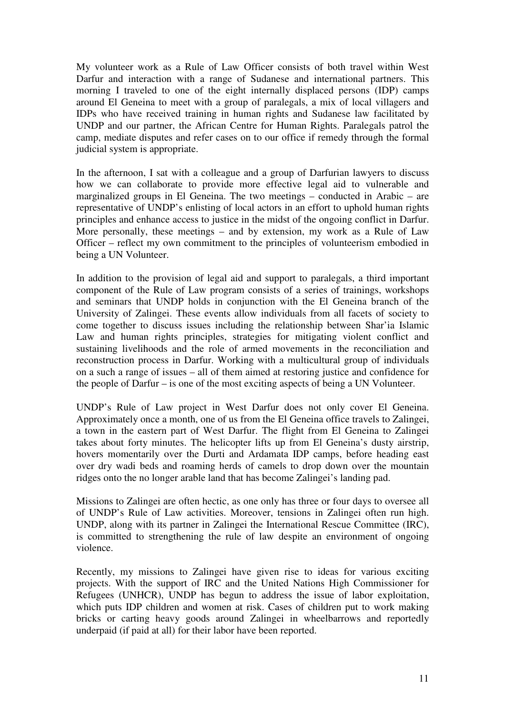My volunteer work as a Rule of Law Officer consists of both travel within West Darfur and interaction with a range of Sudanese and international partners. This morning I traveled to one of the eight internally displaced persons (IDP) camps around El Geneina to meet with a group of paralegals, a mix of local villagers and IDPs who have received training in human rights and Sudanese law facilitated by UNDP and our partner, the African Centre for Human Rights. Paralegals patrol the camp, mediate disputes and refer cases on to our office if remedy through the formal judicial system is appropriate.

In the afternoon, I sat with a colleague and a group of Darfurian lawyers to discuss how we can collaborate to provide more effective legal aid to vulnerable and marginalized groups in El Geneina. The two meetings – conducted in Arabic – are representative of UNDP's enlisting of local actors in an effort to uphold human rights principles and enhance access to justice in the midst of the ongoing conflict in Darfur. More personally, these meetings – and by extension, my work as a Rule of Law Officer – reflect my own commitment to the principles of volunteerism embodied in being a UN Volunteer.

In addition to the provision of legal aid and support to paralegals, a third important component of the Rule of Law program consists of a series of trainings, workshops and seminars that UNDP holds in conjunction with the El Geneina branch of the University of Zalingei. These events allow individuals from all facets of society to come together to discuss issues including the relationship between Shar'ia Islamic Law and human rights principles, strategies for mitigating violent conflict and sustaining livelihoods and the role of armed movements in the reconciliation and reconstruction process in Darfur. Working with a multicultural group of individuals on a such a range of issues – all of them aimed at restoring justice and confidence for the people of Darfur – is one of the most exciting aspects of being a UN Volunteer.

UNDP's Rule of Law project in West Darfur does not only cover El Geneina. Approximately once a month, one of us from the El Geneina office travels to Zalingei, a town in the eastern part of West Darfur. The flight from El Geneina to Zalingei takes about forty minutes. The helicopter lifts up from El Geneina's dusty airstrip, hovers momentarily over the Durti and Ardamata IDP camps, before heading east over dry wadi beds and roaming herds of camels to drop down over the mountain ridges onto the no longer arable land that has become Zalingei's landing pad.

Missions to Zalingei are often hectic, as one only has three or four days to oversee all of UNDP's Rule of Law activities. Moreover, tensions in Zalingei often run high. UNDP, along with its partner in Zalingei the International Rescue Committee (IRC), is committed to strengthening the rule of law despite an environment of ongoing violence.

Recently, my missions to Zalingei have given rise to ideas for various exciting projects. With the support of IRC and the United Nations High Commissioner for Refugees (UNHCR), UNDP has begun to address the issue of labor exploitation, which puts IDP children and women at risk. Cases of children put to work making bricks or carting heavy goods around Zalingei in wheelbarrows and reportedly underpaid (if paid at all) for their labor have been reported.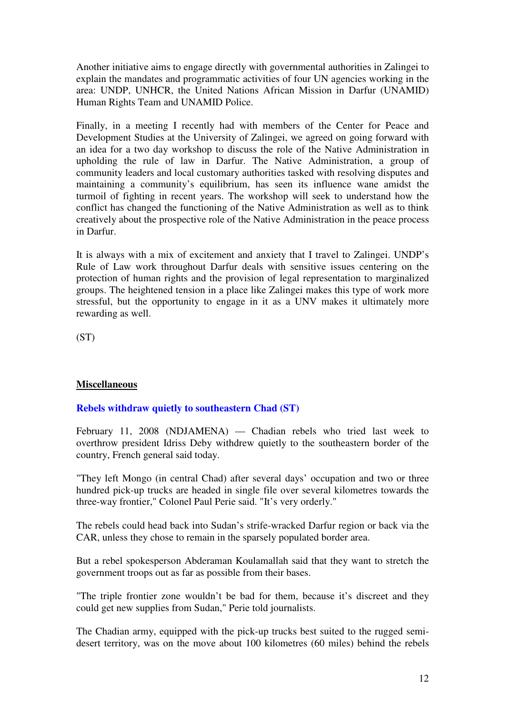Another initiative aims to engage directly with governmental authorities in Zalingei to explain the mandates and programmatic activities of four UN agencies working in the area: UNDP, UNHCR, the United Nations African Mission in Darfur (UNAMID) Human Rights Team and UNAMID Police.

Finally, in a meeting I recently had with members of the Center for Peace and Development Studies at the University of Zalingei, we agreed on going forward with an idea for a two day workshop to discuss the role of the Native Administration in upholding the rule of law in Darfur. The Native Administration, a group of community leaders and local customary authorities tasked with resolving disputes and maintaining a community's equilibrium, has seen its influence wane amidst the turmoil of fighting in recent years. The workshop will seek to understand how the conflict has changed the functioning of the Native Administration as well as to think creatively about the prospective role of the Native Administration in the peace process in Darfur.

It is always with a mix of excitement and anxiety that I travel to Zalingei. UNDP's Rule of Law work throughout Darfur deals with sensitive issues centering on the protection of human rights and the provision of legal representation to marginalized groups. The heightened tension in a place like Zalingei makes this type of work more stressful, but the opportunity to engage in it as a UNV makes it ultimately more rewarding as well.

(ST)

## **Miscellaneous**

## **Rebels withdraw quietly to southeastern Chad (ST)**

February 11, 2008 (NDJAMENA) — Chadian rebels who tried last week to overthrow president Idriss Deby withdrew quietly to the southeastern border of the country, French general said today.

"They left Mongo (in central Chad) after several days' occupation and two or three hundred pick-up trucks are headed in single file over several kilometres towards the three-way frontier," Colonel Paul Perie said. "It's very orderly."

The rebels could head back into Sudan's strife-wracked Darfur region or back via the CAR, unless they chose to remain in the sparsely populated border area.

But a rebel spokesperson Abderaman Koulamallah said that they want to stretch the government troops out as far as possible from their bases.

"The triple frontier zone wouldn't be bad for them, because it's discreet and they could get new supplies from Sudan," Perie told journalists.

The Chadian army, equipped with the pick-up trucks best suited to the rugged semidesert territory, was on the move about 100 kilometres (60 miles) behind the rebels